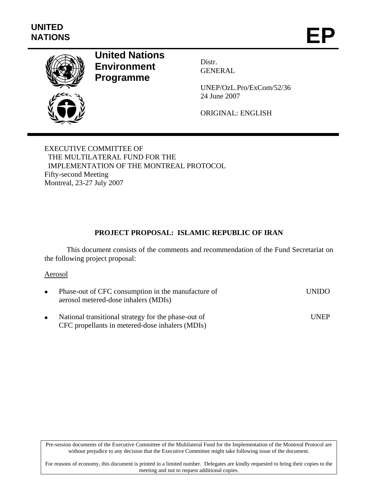

# **United Nations Environment Programme**

Distr. GENERAL

UNEP/OzL.Pro/ExCom/52/36 24 June 2007

ORIGINAL: ENGLISH

EXECUTIVE COMMITTEE OF THE MULTILATERAL FUND FOR THE IMPLEMENTATION OF THE MONTREAL PROTOCOL Fifty-second Meeting Montreal, 23-27 July 2007

# **PROJECT PROPOSAL: ISLAMIC REPUBLIC OF IRAN**

This document consists of the comments and recommendation of the Fund Secretariat on the following project proposal:

#### Aerosol

| Phase-out of CFC consumption in the manufacture of<br>aerosol metered-dose inhalers (MDIs)             | UNIDO.        |
|--------------------------------------------------------------------------------------------------------|---------------|
| National transitional strategy for the phase-out of<br>CFC propellants in metered-dose inhalers (MDIs) | <b>I</b> INEP |

Pre-session documents of the Executive Committee of the Multilateral Fund for the Implementation of the Montreal Protocol are without prejudice to any decision that the Executive Committee might take following issue of the document.

For reasons of economy, this document is printed in a limited number. Delegates are kindly requested to bring their copies to the meeting and not to request additional copies.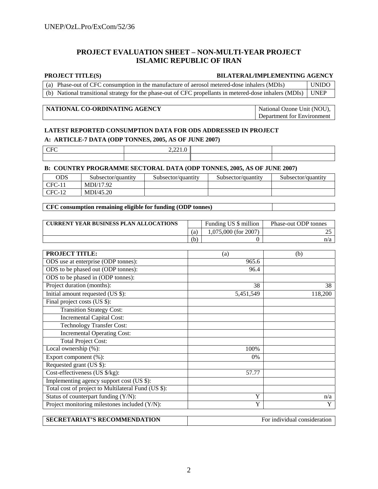#### **PROJECT EVALUATION SHEET – NON-MULTI-YEAR PROJECT ISLAMIC REPUBLIC OF IRAN**

#### **PROJECT TITLE(S) BILATERAL/IMPLEMENTING AGENCY**

| (a) Phase-out of CFC consumption in the manufacture of aerosol metered-dose inhalers (MDIs)                  | <b>UNIDO</b> |
|--------------------------------------------------------------------------------------------------------------|--------------|
| (b) National transitional strategy for the phase-out of CFC propellants in metered-dose inhalers (MDIs) UNEP |              |

#### **NATIONAL CO-ORDINATING AGENCY** National Ozone Unit (NOU),

Department for Environment

#### **LATEST REPORTED CONSUMPTION DATA FOR ODS ADDRESSED IN PROJECT**

#### **A: ARTICLE-7 DATA (ODP TONNES, 2005, AS OF JUNE 2007)**

| $\sim$<br><b>UPL</b> | 0.0010<br>2,221.0 |  |
|----------------------|-------------------|--|
|                      |                   |  |

#### **B: COUNTRY PROGRAMME SECTORAL DATA (ODP TONNES, 2005, AS OF JUNE 2007)**

| ODS      | Subsector/quantity | Subsector/quantity | Subsector/quantity | Subsector/quantity |
|----------|--------------------|--------------------|--------------------|--------------------|
| $CFC-11$ | MDI/17.92          |                    |                    |                    |
| $CFC-12$ | MDI/45.20          |                    |                    |                    |

#### **CFC consumption remaining eligible for funding (ODP tonnes)**

| <b>CURRENT YEAR BUSINESS PLAN ALLOCATIONS</b> |     | Funding US \$ million  | Phase-out ODP tonnes |
|-----------------------------------------------|-----|------------------------|----------------------|
|                                               |     | $1.075,000$ (for 2007) |                      |
|                                               | (b) |                        | n/a                  |

| <b>PROJECT TITLE:</b>                               | (a)       | (b)                          |
|-----------------------------------------------------|-----------|------------------------------|
| ODS use at enterprise (ODP tonnes):                 | 965.6     |                              |
| ODS to be phased out (ODP tonnes):                  | 96.4      |                              |
| ODS to be phased in (ODP tonnes):                   |           |                              |
| Project duration (months):                          | 38        | 38                           |
| Initial amount requested (US \$):                   | 5,451,549 | 118,200                      |
| Final project costs (US \$):                        |           |                              |
| <b>Transition Strategy Cost:</b>                    |           |                              |
| <b>Incremental Capital Cost:</b>                    |           |                              |
| <b>Technology Transfer Cost:</b>                    |           |                              |
| <b>Incremental Operating Cost:</b>                  |           |                              |
| <b>Total Project Cost:</b>                          |           |                              |
| Local ownership (%):                                | 100%      |                              |
| Export component (%):                               | $0\%$     |                              |
| Requested grant (US \$):                            |           |                              |
| Cost-effectiveness (US \$/kg):                      | 57.77     |                              |
| Implementing agency support cost (US \$):           |           |                              |
| Total cost of project to Multilateral Fund (US \$): |           |                              |
| Status of counterpart funding (Y/N):                | Y         | n/a                          |
| Project monitoring milestones included (Y/N):       | Y         | Y                            |
|                                                     |           |                              |
| <b>SECRETARIAT'S RECOMMENDATION</b>                 |           | For individual consideration |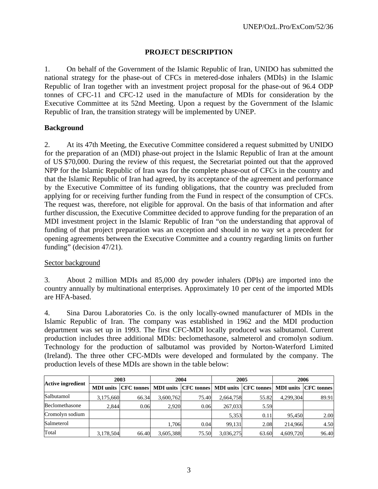#### **PROJECT DESCRIPTION**

1. On behalf of the Government of the Islamic Republic of Iran, UNIDO has submitted the national strategy for the phase-out of CFCs in metered-dose inhalers (MDIs) in the Islamic Republic of Iran together with an investment project proposal for the phase-out of 96.4 ODP tonnes of CFC-11 and CFC-12 used in the manufacture of MDIs for consideration by the Executive Committee at its 52nd Meeting. Upon a request by the Government of the Islamic Republic of Iran, the transition strategy will be implemented by UNEP.

#### **Background**

2. At its 47th Meeting, the Executive Committee considered a request submitted by UNIDO for the preparation of an (MDI) phase-out project in the Islamic Republic of Iran at the amount of US \$70,000. During the review of this request, the Secretariat pointed out that the approved NPP for the Islamic Republic of Iran was for the complete phase-out of CFCs in the country and that the Islamic Republic of Iran had agreed, by its acceptance of the agreement and performance by the Executive Committee of its funding obligations, that the country was precluded from applying for or receiving further funding from the Fund in respect of the consumption of CFCs. The request was, therefore, not eligible for approval. On the basis of that information and after further discussion, the Executive Committee decided to approve funding for the preparation of an MDI investment project in the Islamic Republic of Iran "on the understanding that approval of funding of that project preparation was an exception and should in no way set a precedent for opening agreements between the Executive Committee and a country regarding limits on further funding" (decision 47/21).

# Sector background

3. About 2 million MDIs and 85,000 dry powder inhalers (DPIs) are imported into the country annually by multinational enterprises. Approximately 10 per cent of the imported MDIs are HFA-based.

4. Sina Darou Laboratories Co. is the only locally-owned manufacturer of MDIs in the Islamic Republic of Iran. The company was established in 1962 and the MDI production department was set up in 1993. The first CFC-MDI locally produced was salbutamol. Current production includes three additional MDIs: beclomethasone, salmeterol and cromolyn sodium. Technology for the production of salbutamol was provided by Norton-Waterford Limited (Ireland). The three other CFC-MDIs were developed and formulated by the company. The production levels of these MDIs are shown in the table below:

|                          | 2003      |                                                                                     | 2004      |       | 2005      |       | 2006      |       |
|--------------------------|-----------|-------------------------------------------------------------------------------------|-----------|-------|-----------|-------|-----------|-------|
| <b>Active ingredient</b> |           | MDI units CFC tonnes MDI units CFC tonnes MDI units CFC tonnes MDI units CFC tonnes |           |       |           |       |           |       |
| Salbutamol               | 3,175,660 | 66.34                                                                               | 3,600,762 | 75.40 | 2,664,758 | 55.82 | 4,299,304 | 89.91 |
| Beclomethasone           | 2.844     | 0.06                                                                                | 2.920     | 0.06  | 267,033   | 5.59  |           |       |
| Cromolyn sodium          |           |                                                                                     |           |       | 5,353     | 0.11  | 95.450    | 2.00  |
| Salmeterol               |           |                                                                                     | 1.706     | 0.04  | 99.131    | 2.08  | 214,966   | 4.50  |
| Total                    | 3,178,504 | 66.40                                                                               | 3,605,388 | 75.50 | 3,036,275 | 63.60 | 4,609,720 | 96.40 |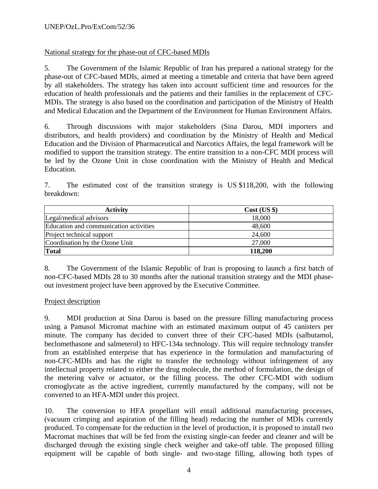# National strategy for the phase-out of CFC-based MDIs

5. The Government of the Islamic Republic of Iran has prepared a national strategy for the phase-out of CFC-based MDIs, aimed at meeting a timetable and criteria that have been agreed by all stakeholders. The strategy has taken into account sufficient time and resources for the education of health professionals and the patients and their families in the replacement of CFC-MDIs. The strategy is also based on the coordination and participation of the Ministry of Health and Medical Education and the Department of the Environment for Human Environment Affairs.

6. Through discussions with major stakeholders (Sina Darou, MDI importers and distributors, and health providers) and coordination by the Ministry of Health and Medical Education and the Division of Pharmaceutical and Narcotics Affairs, the legal framework will be modified to support the transition strategy. The entire transition to a non-CFC MDI process will be led by the Ozone Unit in close coordination with the Ministry of Health and Medical Education.

7. The estimated cost of the transition strategy is US \$118,200, with the following breakdown:

| <b>Activity</b>                        | Cost (US \$) |
|----------------------------------------|--------------|
| Legal/medical advisors                 | 18,000       |
| Education and communication activities | 48,600       |
| Project technical support              | 24,600       |
| Coordination by the Ozone Unit         | 27,000       |
| <b>Total</b>                           | 118,200      |

8. The Government of the Islamic Republic of Iran is proposing to launch a first batch of non-CFC-based MDIs 28 to 30 months after the national transition strategy and the MDI phaseout investment project have been approved by the Executive Committee.

#### Project description

9. MDI production at Sina Darou is based on the pressure filling manufacturing process using a Pamasol Micromat machine with an estimated maximum output of 45 canisters per minute. The company has decided to convert three of their CFC-based MDIs (salbutamol, beclomethasone and salmeterol) to HFC-134a technology. This will require technology transfer from an established enterprise that has experience in the formulation and manufacturing of non-CFC-MDIs and has the right to transfer the technology without infringement of any intellectual property related to either the drug molecule, the method of formulation, the design of the metering valve or actuator, or the filling process. The other CFC-MDI with sodium cromoglycate as the active ingredient, currently manufactured by the company, will not be converted to an HFA-MDI under this project.

10. The conversion to HFA propellant will entail additional manufacturing processes, (vacuum crimping and aspiration of the filling head) reducing the number of MDIs currently produced. To compensate for the reduction in the level of production, it is proposed to install two Macromat machines that will be fed from the existing single-can feeder and cleaner and will be discharged through the existing single check weigher and take-off table. The proposed filling equipment will be capable of both single- and two-stage filling, allowing both types of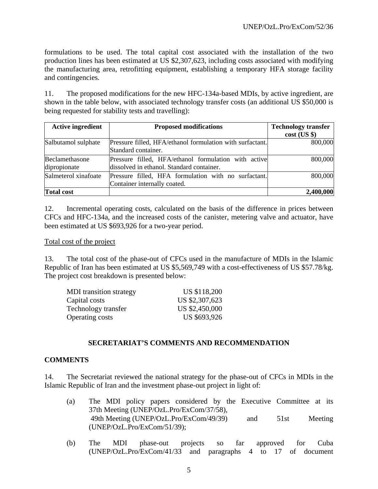formulations to be used. The total capital cost associated with the installation of the two production lines has been estimated at US \$2,307,623, including costs associated with modifying the manufacturing area, retrofitting equipment, establishing a temporary HFA storage facility and contingencies.

11. The proposed modifications for the new HFC-134a-based MDIs, by active ingredient, are shown in the table below, with associated technology transfer costs (an additional US \$50,000 is being requested for stability tests and travelling):

| <b>Active ingredient</b> | <b>Proposed modifications</b>                             | <b>Technology transfer</b> |  |
|--------------------------|-----------------------------------------------------------|----------------------------|--|
|                          |                                                           | $cost$ (US $\})$           |  |
| Salbutamol sulphate      | Pressure filled, HFA/ethanol formulation with surfactant. | 800,000                    |  |
|                          | Standard container.                                       |                            |  |
| Beclamethasone           | Pressure filled, HFA/ethanol formulation with active      | 800,000                    |  |
| dipropionate             | dissolved in ethanol. Standard container.                 |                            |  |
| Salmeterol xinafoate     | Pressure filled, HFA formulation with no surfactant.      | 800,000                    |  |
|                          | Container internally coated.                              |                            |  |
| <b>Total cost</b>        |                                                           | 2,400,000                  |  |

12. Incremental operating costs, calculated on the basis of the difference in prices between CFCs and HFC-134a, and the increased costs of the canister, metering valve and actuator, have been estimated at US \$693,926 for a two-year period.

#### Total cost of the project

13. The total cost of the phase-out of CFCs used in the manufacture of MDIs in the Islamic Republic of Iran has been estimated at US \$5,569,749 with a cost-effectiveness of US \$57.78/kg. The project cost breakdown is presented below:

| <b>MDI</b> transition strategy | US \$118,200   |
|--------------------------------|----------------|
| Capital costs                  | US \$2,307,623 |
| Technology transfer            | US \$2,450,000 |
| <b>Operating costs</b>         | US \$693,926   |

#### **SECRETARIAT'S COMMENTS AND RECOMMENDATION**

#### **COMMENTS**

14. The Secretariat reviewed the national strategy for the phase-out of CFCs in MDIs in the Islamic Republic of Iran and the investment phase-out project in light of:

- (a) The MDI policy papers considered by the Executive Committee at its 37th Meeting (UNEP/OzL.Pro/ExCom/37/58), 49th Meeting (UNEP/OzL.Pro/ExCom/49/39) and 51st Meeting (UNEP/OzL.Pro/ExCom/51/39);
- (b) The MDI phase-out projects so far approved for Cuba (UNEP/OzL.Pro/ExCom/41/33 and paragraphs 4 to 17 of document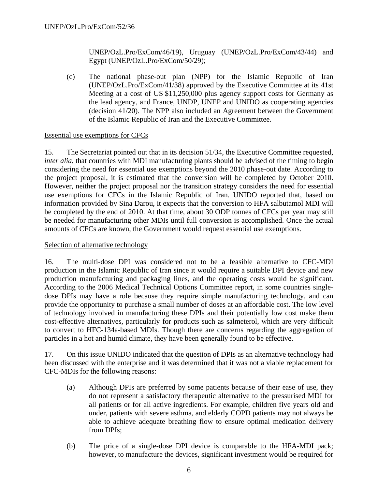UNEP/OzL.Pro/ExCom/46/19), Uruguay (UNEP/OzL.Pro/ExCom/43/44) and Egypt (UNEP/OzL.Pro/ExCom/50/29);

(c) The national phase-out plan (NPP) for the Islamic Republic of Iran (UNEP/OzL.Pro/ExCom/41/38) approved by the Executive Committee at its 41st Meeting at a cost of US \$11,250,000 plus agency support costs for Germany as the lead agency, and France, UNDP, UNEP and UNIDO as cooperating agencies (decision 41/20). The NPP also included an Agreement between the Government of the Islamic Republic of Iran and the Executive Committee.

#### Essential use exemptions for CFCs

15. The Secretariat pointed out that in its decision 51/34, the Executive Committee requested, *inter alia,* that countries with MDI manufacturing plants should be advised of the timing to begin considering the need for essential use exemptions beyond the 2010 phase-out date. According to the project proposal, it is estimated that the conversion will be completed by October 2010. However, neither the project proposal nor the transition strategy considers the need for essential use exemptions for CFCs in the Islamic Republic of Iran. UNIDO reported that, based on information provided by Sina Darou, it expects that the conversion to HFA salbutamol MDI will be completed by the end of 2010. At that time, about 30 ODP tonnes of CFCs per year may still be needed for manufacturing other MDIs until full conversion is accomplished. Once the actual amounts of CFCs are known, the Government would request essential use exemptions.

#### Selection of alternative technology

16. The multi-dose DPI was considered not to be a feasible alternative to CFC-MDI production in the Islamic Republic of Iran since it would require a suitable DPI device and new production manufacturing and packaging lines, and the operating costs would be significant. According to the 2006 Medical Technical Options Committee report, in some countries singledose DPIs may have a role because they require simple manufacturing technology, and can provide the opportunity to purchase a small number of doses at an affordable cost. The low level of technology involved in manufacturing these DPIs and their potentially low cost make them cost-effective alternatives, particularly for products such as salmeterol, which are very difficult to convert to HFC-134a-based MDIs. Though there are concerns regarding the aggregation of particles in a hot and humid climate, they have been generally found to be effective.

17. On this issue UNIDO indicated that the question of DPIs as an alternative technology had been discussed with the enterprise and it was determined that it was not a viable replacement for CFC-MDIs for the following reasons:

- (a) Although DPIs are preferred by some patients because of their ease of use, they do not represent a satisfactory therapeutic alternative to the pressurised MDI for all patients or for all active ingredients. For example, children five years old and under, patients with severe asthma, and elderly COPD patients may not always be able to achieve adequate breathing flow to ensure optimal medication delivery from DPIs;
- (b) The price of a single-dose DPI device is comparable to the HFA-MDI pack; however, to manufacture the devices, significant investment would be required for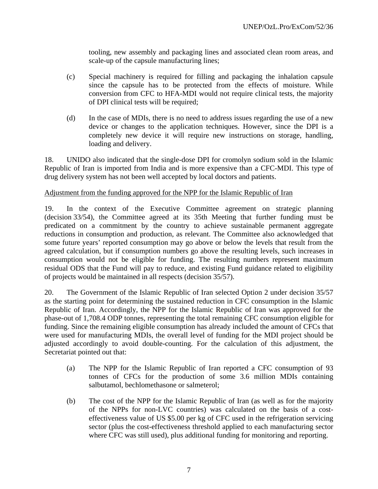tooling, new assembly and packaging lines and associated clean room areas, and scale-up of the capsule manufacturing lines;

- (c) Special machinery is required for filling and packaging the inhalation capsule since the capsule has to be protected from the effects of moisture. While conversion from CFC to HFA-MDI would not require clinical tests, the majority of DPI clinical tests will be required;
- (d) In the case of MDIs, there is no need to address issues regarding the use of a new device or changes to the application techniques. However, since the DPI is a completely new device it will require new instructions on storage, handling, loading and delivery.

18. UNIDO also indicated that the single-dose DPI for cromolyn sodium sold in the Islamic Republic of Iran is imported from India and is more expensive than a CFC-MDI. This type of drug delivery system has not been well accepted by local doctors and patients.

# Adjustment from the funding approved for the NPP for the Islamic Republic of Iran

19. In the context of the Executive Committee agreement on strategic planning (decision 33/54), the Committee agreed at its 35th Meeting that further funding must be predicated on a commitment by the country to achieve sustainable permanent aggregate reductions in consumption and production, as relevant. The Committee also acknowledged that some future years' reported consumption may go above or below the levels that result from the agreed calculation, but if consumption numbers go above the resulting levels, such increases in consumption would not be eligible for funding. The resulting numbers represent maximum residual ODS that the Fund will pay to reduce, and existing Fund guidance related to eligibility of projects would be maintained in all respects (decision 35/57).

20. The Government of the Islamic Republic of Iran selected Option 2 under decision 35/57 as the starting point for determining the sustained reduction in CFC consumption in the Islamic Republic of Iran. Accordingly, the NPP for the Islamic Republic of Iran was approved for the phase-out of 1,708.4 ODP tonnes, representing the total remaining CFC consumption eligible for funding. Since the remaining eligible consumption has already included the amount of CFCs that were used for manufacturing MDIs, the overall level of funding for the MDI project should be adjusted accordingly to avoid double-counting. For the calculation of this adjustment, the Secretariat pointed out that:

- (a) The NPP for the Islamic Republic of Iran reported a CFC consumption of 93 tonnes of CFCs for the production of some 3.6 million MDIs containing salbutamol, bechlomethasone or salmeterol;
- (b) The cost of the NPP for the Islamic Republic of Iran (as well as for the majority of the NPPs for non-LVC countries) was calculated on the basis of a costeffectiveness value of US \$5.00 per kg of CFC used in the refrigeration servicing sector (plus the cost-effectiveness threshold applied to each manufacturing sector where CFC was still used), plus additional funding for monitoring and reporting.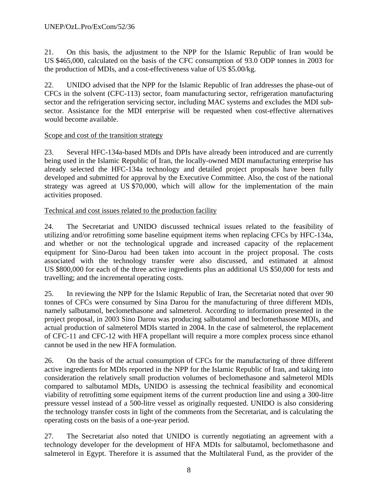21. On this basis, the adjustment to the NPP for the Islamic Republic of Iran would be US \$465,000, calculated on the basis of the CFC consumption of 93.0 ODP tonnes in 2003 for the production of MDIs, and a cost-effectiveness value of US \$5.00/kg.

22. UNIDO advised that the NPP for the Islamic Republic of Iran addresses the phase-out of CFCs in the solvent (CFC-113) sector, foam manufacturing sector, refrigeration manufacturing sector and the refrigeration servicing sector, including MAC systems and excludes the MDI subsector. Assistance for the MDI enterprise will be requested when cost-effective alternatives would become available.

#### Scope and cost of the transition strategy

23. Several HFC-134a-based MDIs and DPIs have already been introduced and are currently being used in the Islamic Republic of Iran, the locally-owned MDI manufacturing enterprise has already selected the HFC-134a technology and detailed project proposals have been fully developed and submitted for approval by the Executive Committee. Also, the cost of the national strategy was agreed at US \$70,000, which will allow for the implementation of the main activities proposed.

# Technical and cost issues related to the production facility

24. The Secretariat and UNIDO discussed technical issues related to the feasibility of utilizing and/or retrofitting some baseline equipment items when replacing CFCs by HFC-134a, and whether or not the technological upgrade and increased capacity of the replacement equipment for Sino-Darou had been taken into account in the project proposal. The costs associated with the technology transfer were also discussed, and estimated at almost US \$800,000 for each of the three active ingredients plus an additional US \$50,000 for tests and travelling; and the incremental operating costs.

25. In reviewing the NPP for the Islamic Republic of Iran, the Secretariat noted that over 90 tonnes of CFCs were consumed by Sina Darou for the manufacturing of three different MDIs, namely salbutamol, beclomethasone and salmeterol. According to information presented in the project proposal, in 2003 Sino Darou was producing salbutamol and beclomethasone MDIs, and actual production of salmeterol MDIs started in 2004. In the case of salmeterol, the replacement of CFC-11 and CFC-12 with HFA propellant will require a more complex process since ethanol cannot be used in the new HFA formulation.

26. On the basis of the actual consumption of CFCs for the manufacturing of three different active ingredients for MDIs reported in the NPP for the Islamic Republic of Iran, and taking into consideration the relatively small production volumes of beclomethasone and salmeterol MDIs compared to salbutamol MDIs, UNIDO is assessing the technical feasibility and economical viability of retrofitting some equipment items of the current production line and using a 300-litre pressure vessel instead of a 500-litre vessel as originally requested. UNIDO is also considering the technology transfer costs in light of the comments from the Secretariat, and is calculating the operating costs on the basis of a one-year period.

27. The Secretariat also noted that UNIDO is currently negotiating an agreement with a technology developer for the development of HFA MDIs for salbutamol, beclomethasone and salmeterol in Egypt. Therefore it is assumed that the Multilateral Fund, as the provider of the